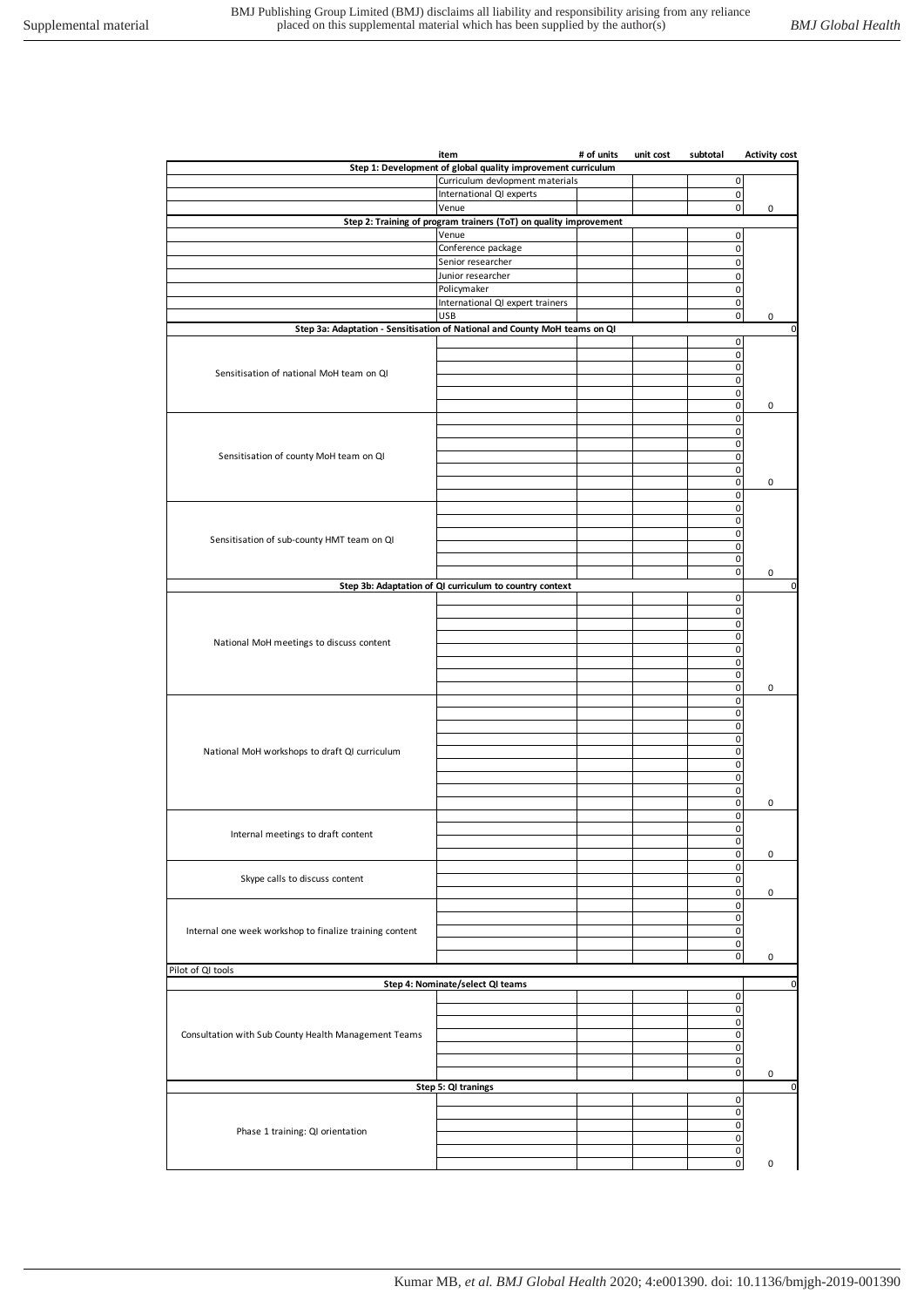|                                                         | item                                                                       | # of units | unit cost | subtotal                         | <b>Activity cost</b> |
|---------------------------------------------------------|----------------------------------------------------------------------------|------------|-----------|----------------------------------|----------------------|
|                                                         | Step 1: Development of global quality improvement curriculum               |            |           |                                  |                      |
|                                                         | Curriculum devlopment materials                                            |            |           | 0                                |                      |
|                                                         | International QI experts                                                   |            |           | $\mathbf 0$                      |                      |
|                                                         | Venue                                                                      |            |           | $\mathbf 0$                      | $\pmb{0}$            |
|                                                         | Step 2: Training of program trainers (ToT) on quality improvement<br>Venue |            |           | 0                                |                      |
|                                                         | Conference package                                                         |            |           | $\pmb{0}$                        |                      |
|                                                         | Senior researcher                                                          |            |           | $\pmb{0}$                        |                      |
|                                                         | Junior researcher                                                          |            |           | $\mathsf{O}\xspace$              |                      |
|                                                         | Policymaker                                                                |            |           | $\pmb{0}$                        |                      |
|                                                         | International QI expert trainers                                           |            |           | 0                                |                      |
|                                                         | <b>USB</b>                                                                 |            |           | $\pmb{0}$                        | 0                    |
|                                                         | Step 3a: Adaptation - Sensitisation of National and County MoH teams on QI |            |           |                                  | $\mathbf 0$          |
|                                                         |                                                                            |            |           | 0                                |                      |
| Sensitisation of national MoH team on QI                |                                                                            |            |           | $\pmb{0}$<br>$\pmb{0}$           |                      |
|                                                         |                                                                            |            |           | $\pmb{0}$                        |                      |
|                                                         |                                                                            |            |           | $\mathsf{O}\xspace$              |                      |
|                                                         |                                                                            |            |           | $\pmb{0}$                        | 0                    |
|                                                         |                                                                            |            |           | $\pmb{0}$                        |                      |
|                                                         |                                                                            |            |           | $\pmb{0}$                        |                      |
|                                                         |                                                                            |            |           | $\mathsf{O}\xspace$              |                      |
| Sensitisation of county MoH team on QI                  |                                                                            |            |           | $\pmb{0}$                        |                      |
|                                                         |                                                                            |            |           | $\pmb{0}$<br>$\pmb{0}$           | 0                    |
|                                                         |                                                                            |            |           | $\mathbf 0$                      |                      |
|                                                         |                                                                            |            |           | $\pmb{0}$                        |                      |
|                                                         |                                                                            |            |           | $\pmb{0}$                        |                      |
| Sensitisation of sub-county HMT team on QI              |                                                                            |            |           | $\pmb{0}$                        |                      |
|                                                         |                                                                            |            |           | $\mathsf{O}\xspace$              |                      |
|                                                         |                                                                            |            |           | $\pmb{0}$                        |                      |
|                                                         |                                                                            |            |           | $\mathbf 0$                      | $\pmb{0}$            |
|                                                         | Step 3b: Adaptation of QI curriculum to country context                    |            |           |                                  | $\mathbf 0$          |
|                                                         |                                                                            |            |           | 0<br>0                           |                      |
|                                                         |                                                                            |            |           | 0                                |                      |
|                                                         |                                                                            |            |           | $\mathbf 0$                      |                      |
| National MoH meetings to discuss content                |                                                                            |            |           | $\pmb{0}$                        |                      |
|                                                         |                                                                            |            |           | $\pmb{0}$                        |                      |
|                                                         |                                                                            |            |           | 0                                |                      |
|                                                         |                                                                            |            |           | $\pmb{0}$                        | 0                    |
|                                                         |                                                                            |            |           | 0<br>$\pmb{0}$                   |                      |
|                                                         |                                                                            |            |           | 0                                |                      |
|                                                         |                                                                            |            |           | $\mathbf 0$                      |                      |
| National MoH workshops to draft QI curriculum           |                                                                            |            |           | $\pmb{0}$                        |                      |
|                                                         |                                                                            |            |           | 0                                |                      |
|                                                         |                                                                            |            |           | 0                                |                      |
|                                                         |                                                                            |            |           | $\pmb{0}$                        |                      |
|                                                         |                                                                            |            |           | $\pmb{0}$                        | 0                    |
|                                                         |                                                                            |            |           | 0<br>$\pmb{0}$                   |                      |
| Internal meetings to draft content                      |                                                                            |            |           | $\mathbf 0$                      |                      |
|                                                         |                                                                            |            |           | $\mathsf{O}\xspace$              | 0                    |
|                                                         |                                                                            |            |           | $\pmb{0}$                        |                      |
| Skype calls to discuss content                          |                                                                            |            |           | $\mathsf{O}\xspace$              |                      |
|                                                         |                                                                            |            |           | $\pmb{0}$                        | 0                    |
| Internal one week workshop to finalize training content |                                                                            |            |           | $\mathsf{O}\xspace$              |                      |
|                                                         |                                                                            |            |           | $\pmb{0}$<br>$\mathsf{O}\xspace$ |                      |
|                                                         |                                                                            |            |           | $\mathbf 0$                      |                      |
|                                                         |                                                                            |            |           | $\pmb{0}$                        | $\pmb{0}$            |
| Pilot of QI tools                                       |                                                                            |            |           |                                  |                      |
|                                                         | Step 4: Nominate/select QI teams                                           |            |           |                                  | $\mathbf 0$          |
|                                                         |                                                                            |            |           | 0                                |                      |
|                                                         |                                                                            |            |           | $\mathbf 0$                      |                      |
|                                                         |                                                                            |            |           | $\pmb{0}$                        |                      |
| Consultation with Sub County Health Management Teams    |                                                                            |            |           | $\pmb{0}$                        |                      |
|                                                         |                                                                            |            |           | 0                                |                      |
|                                                         |                                                                            |            |           | $\overline{0}$<br>$\pmb{0}$      | 0                    |
|                                                         | Step 5: QI tranings                                                        |            |           |                                  | $\mathbf 0$          |
|                                                         |                                                                            |            |           | $\pmb{0}$                        |                      |
|                                                         |                                                                            |            |           | $\pmb{0}$                        |                      |
| Phase 1 training: QI orientation                        |                                                                            |            |           | $\pmb{0}$                        |                      |
|                                                         |                                                                            |            |           | $\mathsf{O}\xspace$              |                      |
|                                                         |                                                                            |            |           | $\pmb{0}$                        |                      |
|                                                         |                                                                            |            |           | $\overline{0}$                   | 0                    |